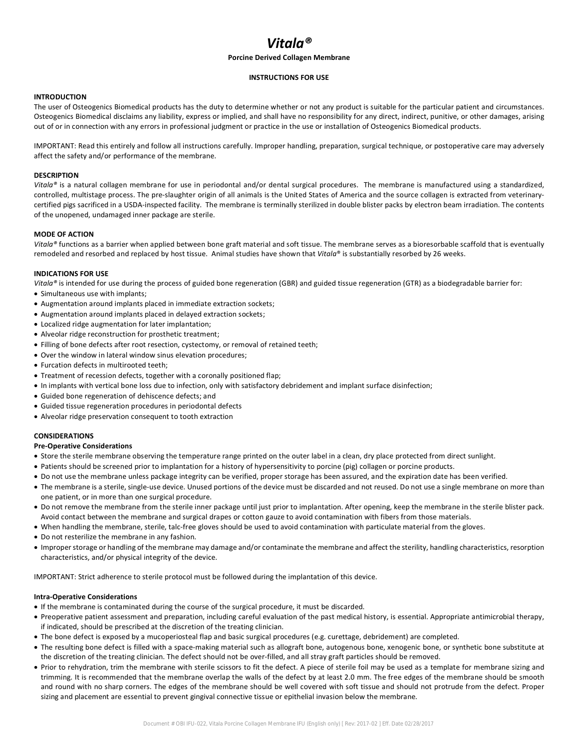# *Vitala®*

## **Porcine Derived Collagen Membrane**

#### **INSTRUCTIONS FOR USE**

## **INTRODUCTION**

The user of Osteogenics Biomedical products has the duty to determine whether or not any product is suitable for the particular patient and circumstances. Osteogenics Biomedical disclaims any liability, express or implied, and shall have no responsibility for any direct, indirect, punitive, or other damages, arising out of or in connection with any errors in professional judgment or practice in the use or installation of Osteogenics Biomedical products.

IMPORTANT: Read this entirely and follow all instructions carefully. Improper handling, preparation, surgical technique, or postoperative care may adversely affect the safety and/or performance of the membrane.

## **DESCRIPTION**

*Vitala®* is a natural collagen membrane for use in periodontal and/or dental surgical procedures. The membrane is manufactured using a standardized, controlled, multistage process. The pre-slaughter origin of all animals is the United States of America and the source collagen is extracted from veterinarycertified pigs sacrificed in a USDA-inspected facility. The membrane is terminally sterilized in double blister packs by electron beam irradiation. The contents of the unopened, undamaged inner package are sterile.

#### **MODE OF ACTION**

*Vitala®* functions as a barrier when applied between bone graft material and soft tissue. The membrane serves as a bioresorbable scaffold that is eventually remodeled and resorbed and replaced by host tissue. Animal studies have shown that *Vitala*® is substantially resorbed by 26 weeks.

## **INDICATIONS FOR USE**

*Vitala®* is intended for use during the process of guided bone regeneration (GBR) and guided tissue regeneration (GTR) as a biodegradable barrier for:

- Simultaneous use with implants;
- Augmentation around implants placed in immediate extraction sockets;
- Augmentation around implants placed in delayed extraction sockets;
- Localized ridge augmentation for later implantation;
- Alveolar ridge reconstruction for prosthetic treatment;
- Filling of bone defects after root resection, cystectomy, or removal of retained teeth;
- Over the window in lateral window sinus elevation procedures;
- Furcation defects in multirooted teeth:
- Treatment of recession defects, together with a coronally positioned flap;
- In implants with vertical bone loss due to infection, only with satisfactory debridement and implant surface disinfection;
- Guided bone regeneration of dehiscence defects; and
- Guided tissue regeneration procedures in periodontal defects
- Alveolar ridge preservation consequent to tooth extraction

## **CONSIDERATIONS**

#### **Pre-Operative Considerations**

- Store the sterile membrane observing the temperature range printed on the outer label in a clean, dry place protected from direct sunlight.
- Patients should be screened prior to implantation for a history of hypersensitivity to porcine (pig) collagen or porcine products.
- Do not use the membrane unless package integrity can be verified, proper storage has been assured, and the expiration date has been verified.
- The membrane is a sterile, single-use device. Unused portions of the device must be discarded and not reused. Do not use a single membrane on more than one patient, or in more than one surgical procedure.
- Do not remove the membrane from the sterile inner package until just prior to implantation. After opening, keep the membrane in the sterile blister pack. Avoid contact between the membrane and surgical drapes or cotton gauze to avoid contamination with fibers from those materials.
- When handling the membrane, sterile, talc-free gloves should be used to avoid contamination with particulate material from the gloves.
- Do not resterilize the membrane in any fashion.
- Improper storage or handling of the membrane may damage and/or contaminate the membrane and affect the sterility, handling characteristics, resorption characteristics, and/or physical integrity of the device.

IMPORTANT: Strict adherence to sterile protocol must be followed during the implantation of this device.

## **Intra-Operative Considerations**

- If the membrane is contaminated during the course of the surgical procedure, it must be discarded.
- Preoperative patient assessment and preparation, including careful evaluation of the past medical history, is essential. Appropriate antimicrobial therapy, if indicated, should be prescribed at the discretion of the treating clinician.
- The bone defect is exposed by a mucoperiosteal flap and basic surgical procedures (e.g. curettage, debridement) are completed.
- The resulting bone defect is filled with a space-making material such as allograft bone, autogenous bone, xenogenic bone, or synthetic bone substitute at the discretion of the treating clinician. The defect should not be over-filled, and all stray graft particles should be removed.
- Prior to rehydration, trim the membrane with sterile scissors to fit the defect. A piece of sterile foil may be used as a template for membrane sizing and trimming. It is recommended that the membrane overlap the walls of the defect by at least 2.0 mm. The free edges of the membrane should be smooth and round with no sharp corners. The edges of the membrane should be well covered with soft tissue and should not protrude from the defect. Proper sizing and placement are essential to prevent gingival connective tissue or epithelial invasion below the membrane.